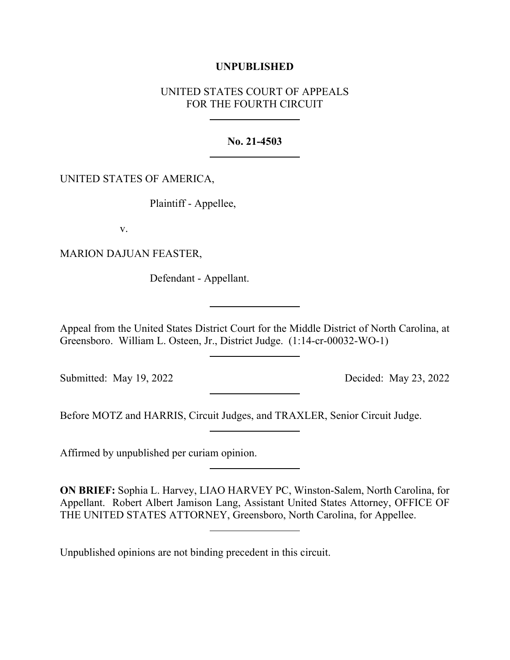## **UNPUBLISHED**

# UNITED STATES COURT OF APPEALS FOR THE FOURTH CIRCUIT

### **No. 21-4503**

### UNITED STATES OF AMERICA,

Plaintiff - Appellee,

v.

MARION DAJUAN FEASTER,

Defendant - Appellant.

Appeal from the United States District Court for the Middle District of North Carolina, at Greensboro. William L. Osteen, Jr., District Judge. (1:14-cr-00032-WO-1)

Submitted: May 19, 2022 Decided: May 23, 2022

Before MOTZ and HARRIS, Circuit Judges, and TRAXLER, Senior Circuit Judge.

Affirmed by unpublished per curiam opinion.

**ON BRIEF:** Sophia L. Harvey, LIAO HARVEY PC, Winston-Salem, North Carolina, for Appellant. Robert Albert Jamison Lang, Assistant United States Attorney, OFFICE OF THE UNITED STATES ATTORNEY, Greensboro, North Carolina, for Appellee.

Unpublished opinions are not binding precedent in this circuit.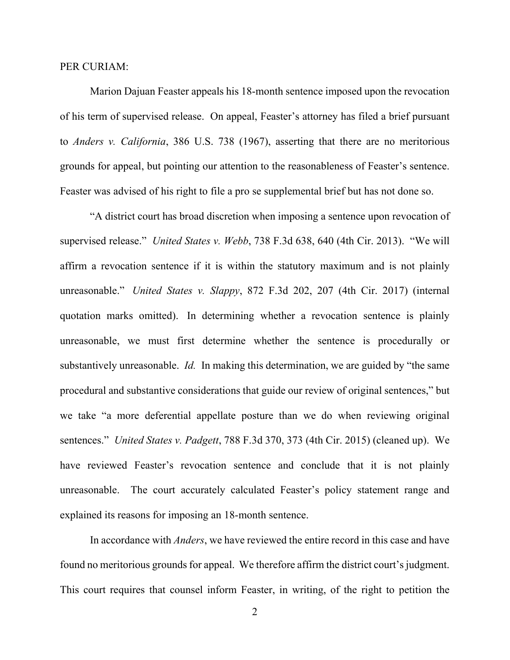#### PER CURIAM:

Marion Dajuan Feaster appeals his 18-month sentence imposed upon the revocation of his term of supervised release. On appeal, Feaster's attorney has filed a brief pursuant to *Anders v. California*, 386 U.S. 738 (1967), asserting that there are no meritorious grounds for appeal, but pointing our attention to the reasonableness of Feaster's sentence. Feaster was advised of his right to file a pro se supplemental brief but has not done so.

"A district court has broad discretion when imposing a sentence upon revocation of supervised release." *United States v. Webb*, 738 F.3d 638, 640 (4th Cir. 2013). "We will affirm a revocation sentence if it is within the statutory maximum and is not plainly unreasonable." *United States v. Slappy*, 872 F.3d 202, 207 (4th Cir. 2017) (internal quotation marks omitted). In determining whether a revocation sentence is plainly unreasonable, we must first determine whether the sentence is procedurally or substantively unreasonable. *Id.* In making this determination, we are guided by "the same procedural and substantive considerations that guide our review of original sentences," but we take "a more deferential appellate posture than we do when reviewing original sentences." *United States v. Padgett*, 788 F.3d 370, 373 (4th Cir. 2015) (cleaned up). We have reviewed Feaster's revocation sentence and conclude that it is not plainly unreasonable. The court accurately calculated Feaster's policy statement range and explained its reasons for imposing an 18-month sentence.

In accordance with *Anders*, we have reviewed the entire record in this case and have found no meritorious grounds for appeal. We therefore affirm the district court's judgment. This court requires that counsel inform Feaster, in writing, of the right to petition the